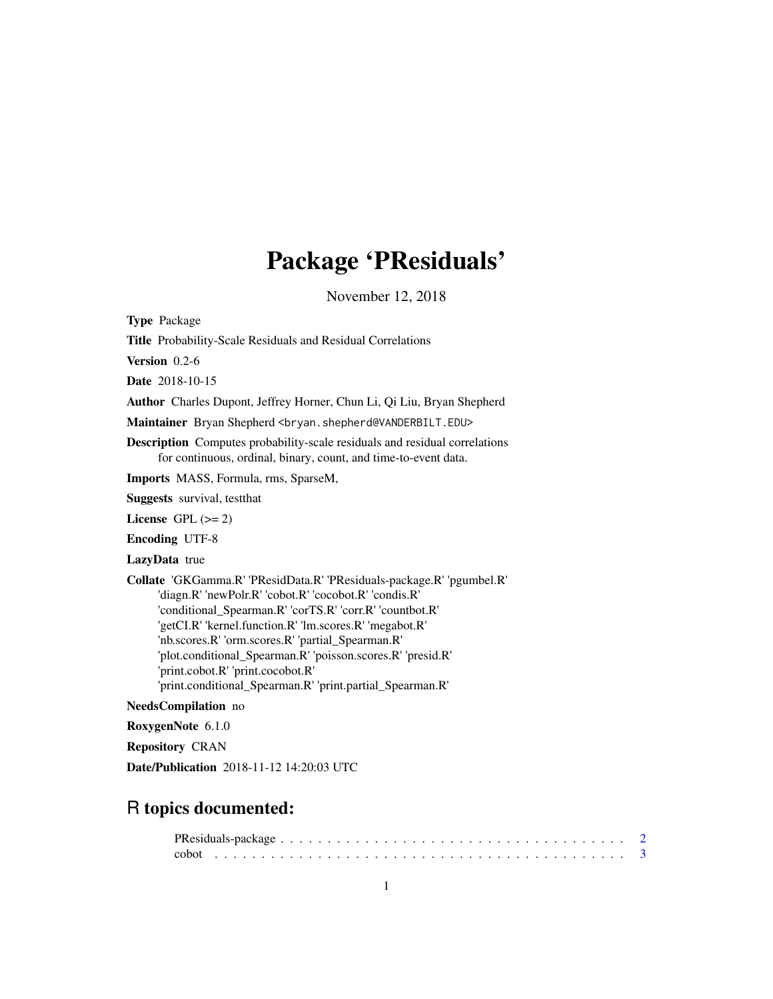# Package 'PResiduals'

November 12, 2018

<span id="page-0-0"></span>Type Package

Title Probability-Scale Residuals and Residual Correlations

Version 0.2-6

Date 2018-10-15

Author Charles Dupont, Jeffrey Horner, Chun Li, Qi Liu, Bryan Shepherd

Maintainer Bryan Shepherd <br />hryan.shepherd@VANDERBILT.EDU>

Description Computes probability-scale residuals and residual correlations for continuous, ordinal, binary, count, and time-to-event data.

Imports MASS, Formula, rms, SparseM,

Suggests survival, testthat

License GPL  $(>= 2)$ 

Encoding UTF-8

LazyData true

Collate 'GKGamma.R' 'PResidData.R' 'PResiduals-package.R' 'pgumbel.R' 'diagn.R' 'newPolr.R' 'cobot.R' 'cocobot.R' 'condis.R' 'conditional\_Spearman.R' 'corTS.R' 'corr.R' 'countbot.R' 'getCI.R' 'kernel.function.R' 'lm.scores.R' 'megabot.R' 'nb.scores.R' 'orm.scores.R' 'partial\_Spearman.R' 'plot.conditional\_Spearman.R' 'poisson.scores.R' 'presid.R' 'print.cobot.R' 'print.cocobot.R' 'print.conditional\_Spearman.R' 'print.partial\_Spearman.R'

# NeedsCompilation no

RoxygenNote 6.1.0

Repository CRAN

Date/Publication 2018-11-12 14:20:03 UTC

# R topics documented: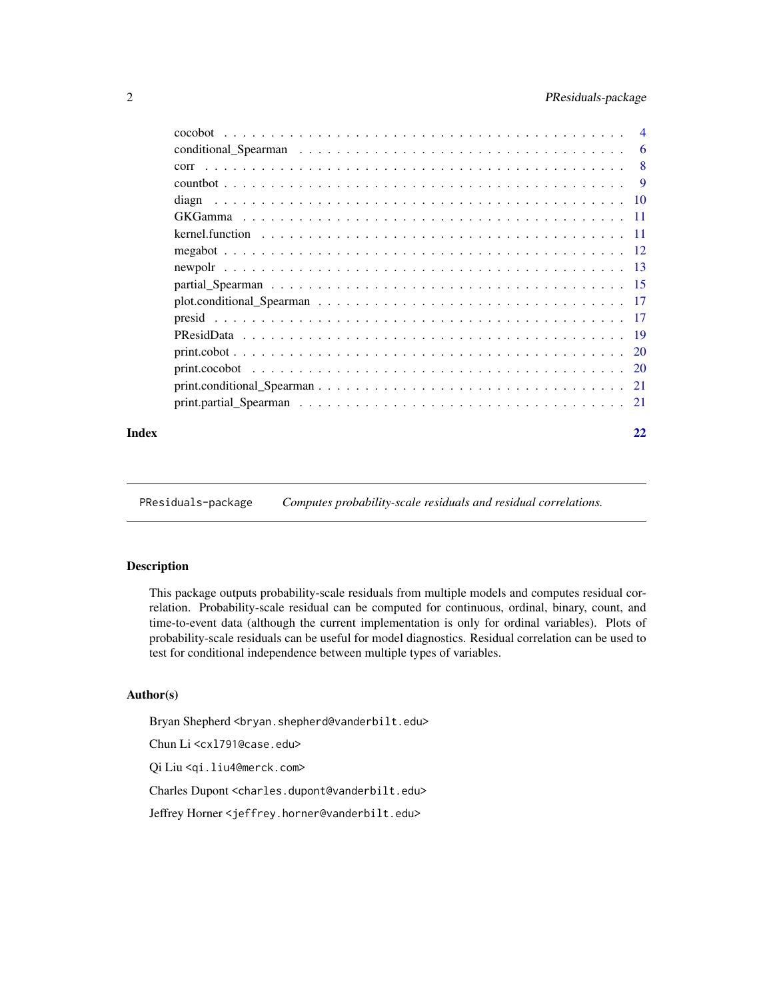# <span id="page-1-0"></span>2 PResiduals-package

| Index | 22 |
|-------|----|

PResiduals-package *Computes probability-scale residuals and residual correlations.*

#### Description

This package outputs probability-scale residuals from multiple models and computes residual correlation. Probability-scale residual can be computed for continuous, ordinal, binary, count, and time-to-event data (although the current implementation is only for ordinal variables). Plots of probability-scale residuals can be useful for model diagnostics. Residual correlation can be used to test for conditional independence between multiple types of variables.

#### Author(s)

Bryan Shepherd <br />bryan.shepherd@vanderbilt.edu>

Chun Li <cxl791@case.edu>

Qi Liu <qi.liu4@merck.com>

Charles Dupont <charles.dupont@vanderbilt.edu>

Jeffrey Horner <jeffrey.horner@vanderbilt.edu>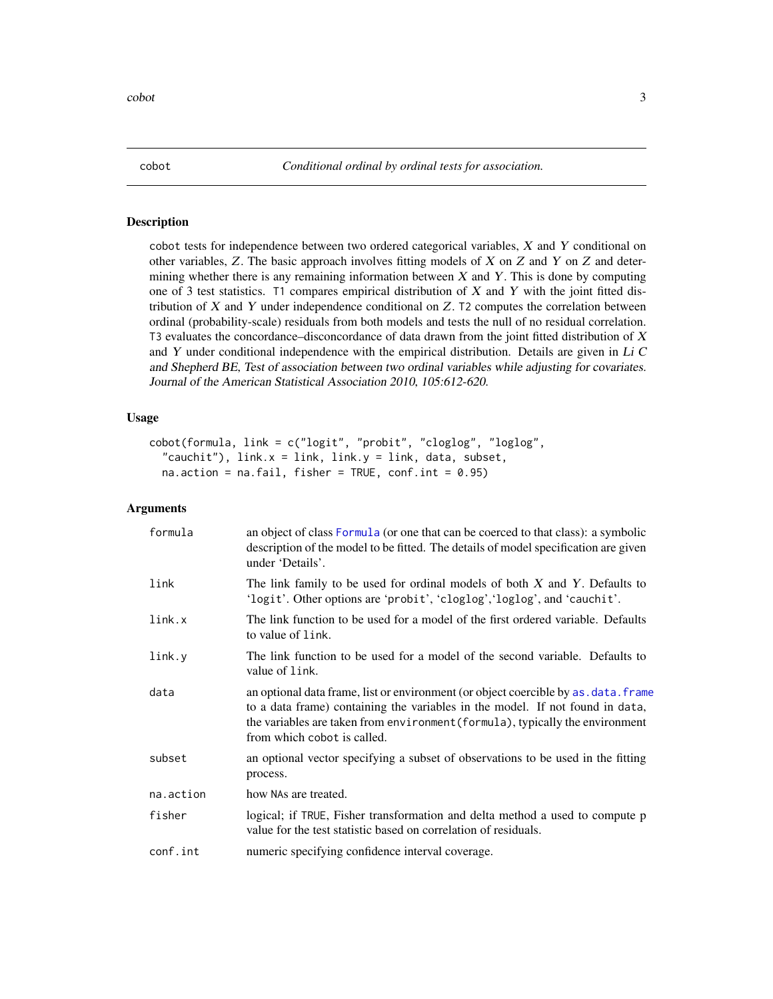<span id="page-2-1"></span><span id="page-2-0"></span>

#### Description

cobot tests for independence between two ordered categorical variables, X and Y conditional on other variables,  $Z$ . The basic approach involves fitting models of  $X$  on  $Z$  and  $Y$  on  $Z$  and determining whether there is any remaining information between  $X$  and  $Y$ . This is done by computing one of 3 test statistics. T1 compares empirical distribution of  $X$  and  $Y$  with the joint fitted distribution of  $X$  and  $Y$  under independence conditional on  $Z$ . T2 computes the correlation between ordinal (probability-scale) residuals from both models and tests the null of no residual correlation. T3 evaluates the concordance–disconcordance of data drawn from the joint fitted distribution of  $X$ and  $Y$  under conditional independence with the empirical distribution. Details are given in  $Li$   $C$ and Shepherd BE, Test of association between two ordinal variables while adjusting for covariates. Journal of the American Statistical Association 2010, 105:612-620.

#### Usage

```
cobot(formula, link = c("logit", "probit", "cloglog", "loglog",
  "cauchit"), link.x = link, link.y = link, data, subset,
  na. action = na.fail, fisher = TRUE, conf.int = <math>0.95</math>)
```

| formula   | an object of class Formula (or one that can be coerced to that class): a symbolic<br>description of the model to be fitted. The details of model specification are given<br>under 'Details'.                                                                                          |
|-----------|---------------------------------------------------------------------------------------------------------------------------------------------------------------------------------------------------------------------------------------------------------------------------------------|
| link      | The link family to be used for ordinal models of both $X$ and $Y$ . Defaults to<br>'logit'. Other options are 'probit', 'cloglog','loglog', and 'cauchit'.                                                                                                                            |
| link.x    | The link function to be used for a model of the first ordered variable. Defaults<br>to value of link.                                                                                                                                                                                 |
| link.y    | The link function to be used for a model of the second variable. Defaults to<br>value of link.                                                                                                                                                                                        |
| data      | an optional data frame, list or environment (or object coercible by as . data. frame<br>to a data frame) containing the variables in the model. If not found in data,<br>the variables are taken from environment (formula), typically the environment<br>from which cobot is called. |
| subset    | an optional vector specifying a subset of observations to be used in the fitting<br>process.                                                                                                                                                                                          |
| na.action | how NAs are treated.                                                                                                                                                                                                                                                                  |
| fisher    | logical; if TRUE, Fisher transformation and delta method a used to compute p<br>value for the test statistic based on correlation of residuals.                                                                                                                                       |
| conf.int  | numeric specifying confidence interval coverage.                                                                                                                                                                                                                                      |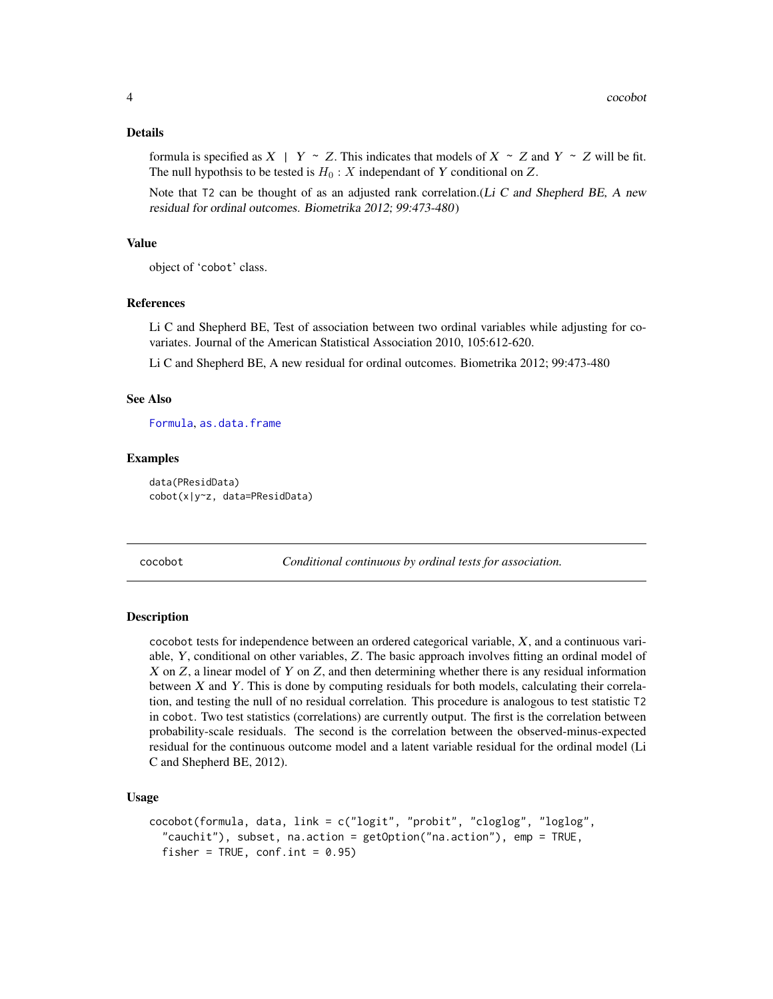#### <span id="page-3-0"></span>Details

formula is specified as  $X \mid Y \sim Z$ . This indicates that models of  $X \sim Z$  and  $Y \sim Z$  will be fit. The null hypothsis to be tested is  $H_0: X$  independant of Y conditional on Z.

Note that  $T_2$  can be thought of as an adjusted rank correlation.(Li C and Shepherd BE, A new residual for ordinal outcomes. Biometrika 2012; 99:473-480)

# Value

object of 'cobot' class.

#### References

Li C and Shepherd BE, Test of association between two ordinal variables while adjusting for covariates. Journal of the American Statistical Association 2010, 105:612-620.

Li C and Shepherd BE, A new residual for ordinal outcomes. Biometrika 2012; 99:473-480

#### See Also

[Formula](#page-0-0), [as.data.frame](#page-0-0)

#### Examples

```
data(PResidData)
cobot(x|y~z, data=PResidData)
```
<span id="page-3-1"></span>cocobot *Conditional continuous by ordinal tests for association.*

## Description

cocobot tests for independence between an ordered categorical variable, X, and a continuous variable, Y, conditional on other variables, Z. The basic approach involves fitting an ordinal model of  $X$  on  $Z$ , a linear model of  $Y$  on  $Z$ , and then determining whether there is any residual information between X and Y. This is done by computing residuals for both models, calculating their correlation, and testing the null of no residual correlation. This procedure is analogous to test statistic T2 in cobot. Two test statistics (correlations) are currently output. The first is the correlation between probability-scale residuals. The second is the correlation between the observed-minus-expected residual for the continuous outcome model and a latent variable residual for the ordinal model (Li C and Shepherd BE, 2012).

#### Usage

```
cocobot(formula, data, link = c("logit", "probit", "cloglog", "loglog",
  "cauchit"), subset, na.action = getOption("na.action"), emp = TRUE,
  fisher = TRUE, conf.int = 0.95)
```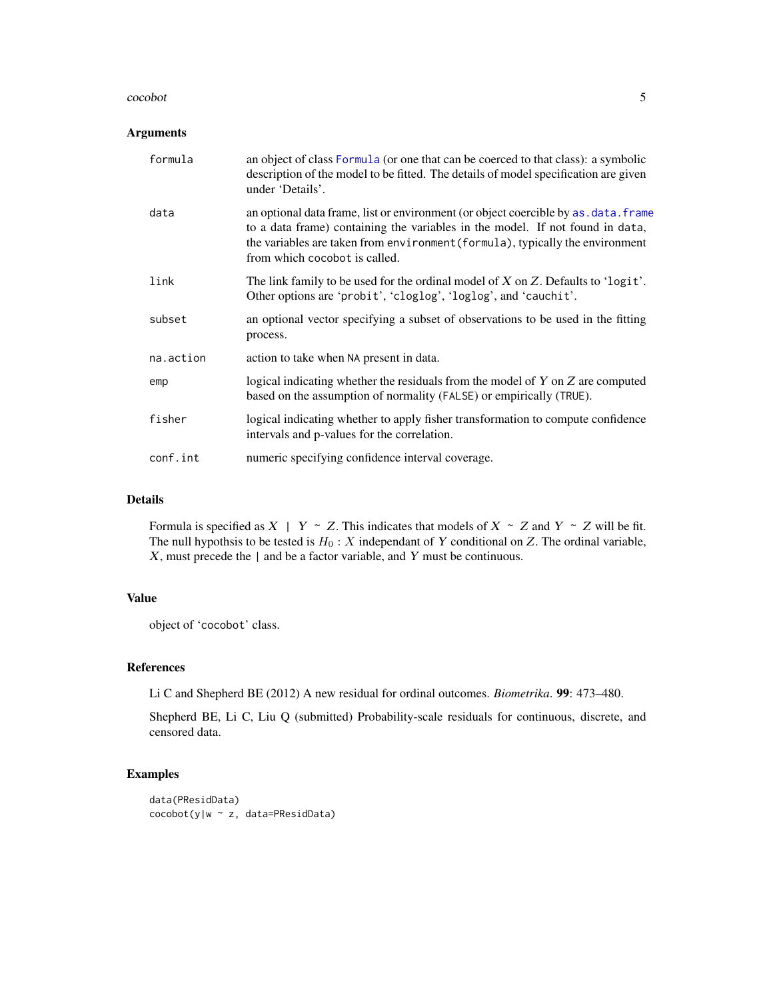#### cocobot 5

#### Arguments

| formula   | an object of class Formula (or one that can be coerced to that class): a symbolic<br>description of the model to be fitted. The details of model specification are given<br>under 'Details'.                                                                                            |
|-----------|-----------------------------------------------------------------------------------------------------------------------------------------------------------------------------------------------------------------------------------------------------------------------------------------|
| data      | an optional data frame, list or environment (or object coercible by as . data. frame<br>to a data frame) containing the variables in the model. If not found in data,<br>the variables are taken from environment (formula), typically the environment<br>from which cocobot is called. |
| link      | The link family to be used for the ordinal model of X on Z. Defaults to 'logit'.<br>Other options are 'probit', 'cloglog', 'loglog', and 'cauchit'.                                                                                                                                     |
| subset    | an optional vector specifying a subset of observations to be used in the fitting<br>process.                                                                                                                                                                                            |
| na.action | action to take when NA present in data.                                                                                                                                                                                                                                                 |
| emp       | logical indicating whether the residuals from the model of $Y$ on $Z$ are computed<br>based on the assumption of normality (FALSE) or empirically (TRUE).                                                                                                                               |
| fisher    | logical indicating whether to apply fisher transformation to compute confidence<br>intervals and p-values for the correlation.                                                                                                                                                          |
| conf.int  | numeric specifying confidence interval coverage.                                                                                                                                                                                                                                        |

#### Details

Formula is specified as  $X \mid Y \sim Z$ . This indicates that models of  $X \sim Z$  and  $Y \sim Z$  will be fit. The null hypothsis to be tested is  $H_0: X$  independant of Y conditional on Z. The ordinal variable,  $X$ , must precede the  $|$  and be a factor variable, and  $Y$  must be continuous.

# Value

object of 'cocobot' class.

# References

Li C and Shepherd BE (2012) A new residual for ordinal outcomes. *Biometrika*. 99: 473–480.

Shepherd BE, Li C, Liu Q (submitted) Probability-scale residuals for continuous, discrete, and censored data.

# Examples

```
data(PResidData)
cocobot(y|w ~ z, data=PResidData)
```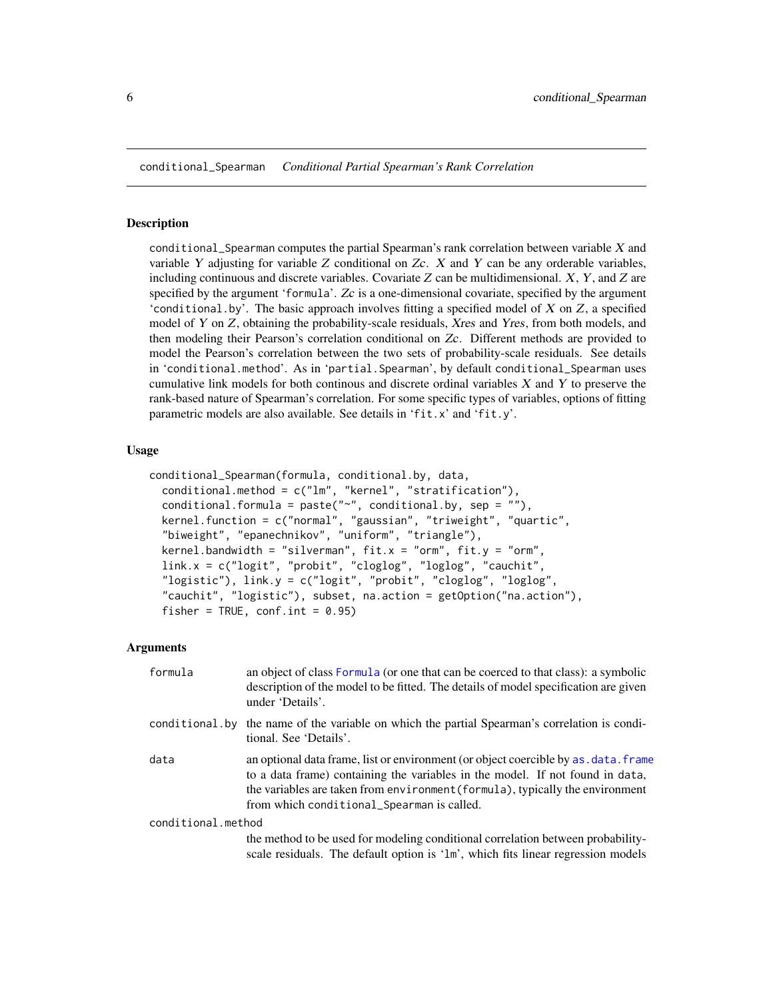<span id="page-5-0"></span>conditional\_Spearman *Conditional Partial Spearman's Rank Correlation*

#### Description

conditional\_Spearman computes the partial Spearman's rank correlation between variable  $X$  and variable Y adjusting for variable  $Z$  conditional on  $Zc$ .  $X$  and Y can be any orderable variables, including continuous and discrete variables. Covariate  $Z$  can be multidimensional.  $X$ ,  $Y$ , and  $Z$  are specified by the argument 'formula'. Zc is a one-dimensional covariate, specified by the argument 'conditional.by'. The basic approach involves fitting a specified model of  $X$  on  $Z$ , a specified model of Y on Z, obtaining the probability-scale residuals, Xres and Yres, from both models, and then modeling their Pearson's correlation conditional on Zc. Different methods are provided to model the Pearson's correlation between the two sets of probability-scale residuals. See details in 'conditional.method'. As in 'partial. Spearman', by default conditional\_Spearman uses cumulative link models for both continous and discrete ordinal variables  $X$  and  $Y$  to preserve the rank-based nature of Spearman's correlation. For some specific types of variables, options of fitting parametric models are also available. See details in 'fit.x' and 'fit.y'.

#### Usage

```
conditional_Spearman(formula, conditional.by, data,
  conditional.method = c("lm", "kernel", "stratification"),
  conditional.formula = paste("~", conditional.by, sep = ""),
  kernel.function = c("normal", "gaussian", "triweight", "quartic",
  "biweight", "epanechnikov", "uniform", "triangle"),
  kernel.bandwidth = "silverman", fit.x = "orm", fit.y = "orm",link.x = c("logit", "probit", "cloglog", "loglog", "cauchit",
  "logistic"), link.y = c("logit", "probit", "cloglog", "loglog",
  "cauchit", "logistic"), subset, na.action = getOption("na.action"),
  fisher = TRUE, conf.int = 0.95)
```

| formula            | an object of class Formula (or one that can be coerced to that class): a symbolic<br>description of the model to be fitted. The details of model specification are given<br>under 'Details'.                                                                                                        |
|--------------------|-----------------------------------------------------------------------------------------------------------------------------------------------------------------------------------------------------------------------------------------------------------------------------------------------------|
|                    | conditional by the name of the variable on which the partial Spearman's correlation is condi-<br>tional. See 'Details'.                                                                                                                                                                             |
| data               | an optional data frame, list or environment (or object coercible by as, data, frame<br>to a data frame) containing the variables in the model. If not found in data,<br>the variables are taken from environment (formula), typically the environment<br>from which conditional_Spearman is called. |
| conditional.method |                                                                                                                                                                                                                                                                                                     |
|                    | the method to be used for modeling conditional correlation between probability-<br>scale residuals. The default option is '1m', which fits linear regression models                                                                                                                                 |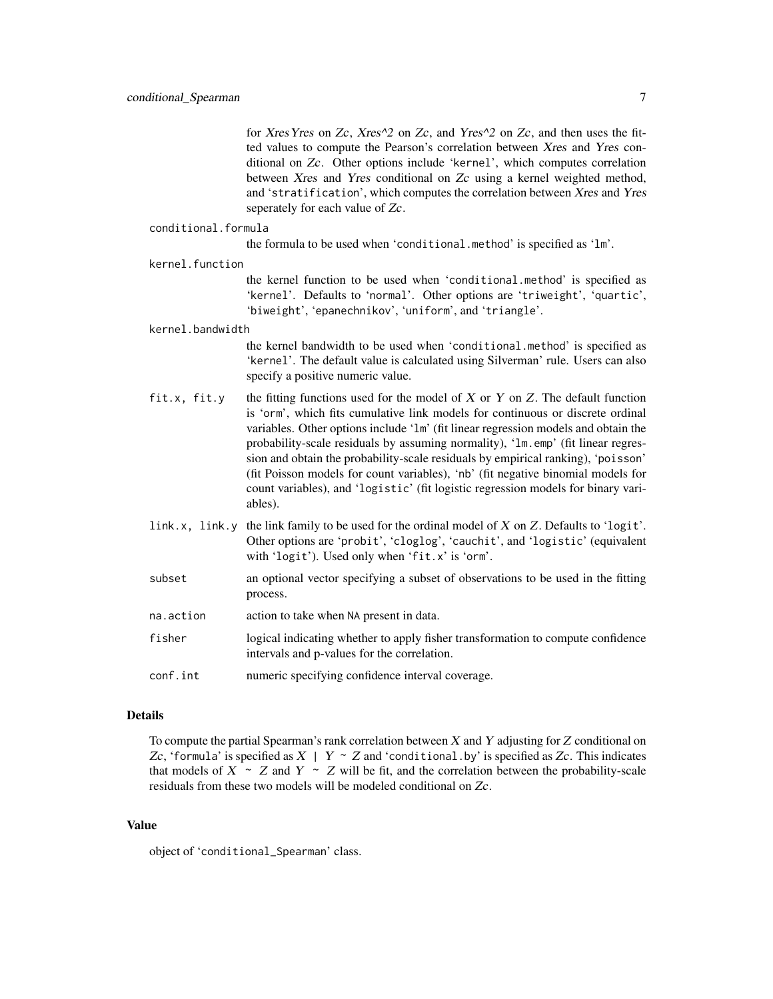for Xres Yres on Zc, Xres $\wedge$ 2 on Zc, and Yres $\wedge$ 2 on Zc, and then uses the fitted values to compute the Pearson's correlation between Xres and Yres conditional on Zc. Other options include 'kernel', which computes correlation between Xres and Yres conditional on Zc using a kernel weighted method, and 'stratification', which computes the correlation between Xres and Yres seperately for each value of Zc.

#### conditional.formula

the formula to be used when 'conditional.method' is specified as 'lm'.

#### kernel.function

the kernel function to be used when 'conditional.method' is specified as 'kernel'. Defaults to 'normal'. Other options are 'triweight', 'quartic', 'biweight', 'epanechnikov', 'uniform', and 'triangle'.

#### kernel.bandwidth

the kernel bandwidth to be used when 'conditional.method' is specified as 'kernel'. The default value is calculated using Silverman' rule. Users can also specify a positive numeric value.

- fit.x, fit.y the fitting functions used for the model of X or Y on Z. The default function is 'orm', which fits cumulative link models for continuous or discrete ordinal variables. Other options include 'lm' (fit linear regression models and obtain the probability-scale residuals by assuming normality), 'lm.emp' (fit linear regression and obtain the probability-scale residuals by empirical ranking), 'poisson' (fit Poisson models for count variables), 'nb' (fit negative binomial models for count variables), and 'logistic' (fit logistic regression models for binary variables).
- link.x, link.y the link family to be used for the ordinal model of  $X$  on  $Z$ . Defaults to 'logit'. Other options are 'probit', 'cloglog', 'cauchit', and 'logistic' (equivalent with 'logit'). Used only when 'fit.x' is 'orm'.
- subset an optional vector specifying a subset of observations to be used in the fitting process.
- na.action action to take when NA present in data.
- fisher logical indicating whether to apply fisher transformation to compute confidence intervals and p-values for the correlation.

conf.int numeric specifying confidence interval coverage.

# Details

To compute the partial Spearman's rank correlation between X and Y adjusting for Z conditional on Zc, 'formula' is specified as  $X \mid Y \sim Z$  and 'conditional. by' is specified as Zc. This indicates that models of  $X \sim Z$  and  $Y \sim Z$  will be fit, and the correlation between the probability-scale residuals from these two models will be modeled conditional on Zc.

#### Value

object of 'conditional\_Spearman' class.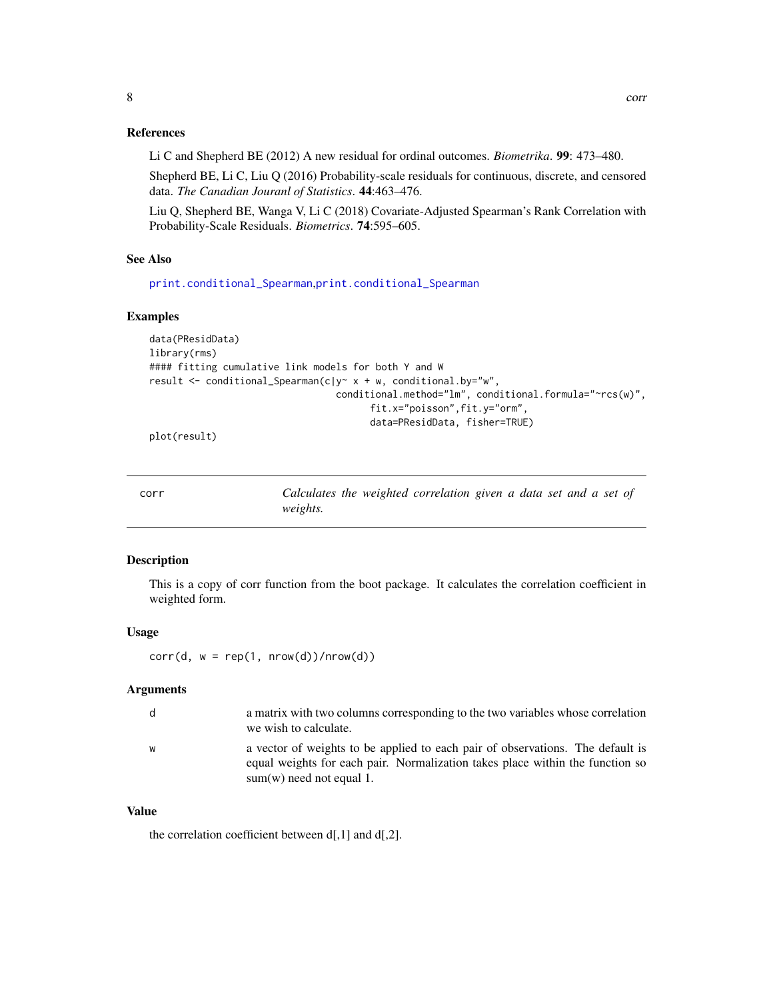# <span id="page-7-0"></span>References

Li C and Shepherd BE (2012) A new residual for ordinal outcomes. *Biometrika*. 99: 473–480.

Shepherd BE, Li C, Liu Q (2016) Probability-scale residuals for continuous, discrete, and censored data. *The Canadian Jouranl of Statistics*. 44:463–476.

Liu Q, Shepherd BE, Wanga V, Li C (2018) Covariate-Adjusted Spearman's Rank Correlation with Probability-Scale Residuals. *Biometrics*. 74:595–605.

#### See Also

[print.conditional\\_Spearman](#page-20-1),[print.conditional\\_Spearman](#page-20-1)

#### Examples

```
data(PResidData)
library(rms)
#### fitting cumulative link models for both Y and W
result <- conditional_Spearman(c|y~ x + w, conditional.by="w",
                                 conditional.method="lm", conditional.formula="~rcs(w)",
                                       fit.x="poisson",fit.y="orm",
                                       data=PResidData, fisher=TRUE)
```
plot(result)

| ٠<br>I<br>×<br>M<br>$\sim$<br>۰. |
|----------------------------------|
|----------------------------------|

Calculates the weighted correlation given a data set and a set of *weights.*

# Description

This is a copy of corr function from the boot package. It calculates the correlation coefficient in weighted form.

#### Usage

 $corr(d, w = rep(1, nrow(d))/nrow(d))$ 

#### Arguments

| d | a matrix with two columns corresponding to the two variables whose correlation<br>we wish to calculate.                                                                                       |
|---|-----------------------------------------------------------------------------------------------------------------------------------------------------------------------------------------------|
| W | a vector of weights to be applied to each pair of observations. The default is<br>equal weights for each pair. Normalization takes place within the function so<br>$sum(w)$ need not equal 1. |

# Value

the correlation coefficient between d[,1] and d[,2].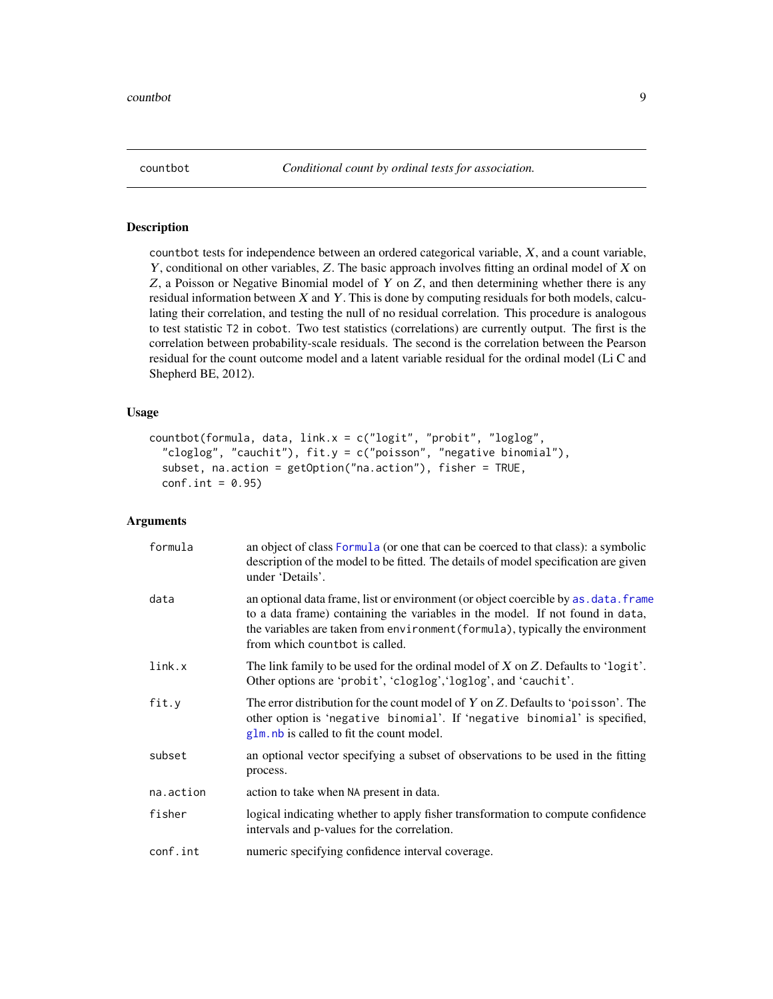<span id="page-8-1"></span><span id="page-8-0"></span>

# Description

countbot tests for independence between an ordered categorical variable, X, and a count variable, Y, conditional on other variables, Z. The basic approach involves fitting an ordinal model of X on  $Z$ , a Poisson or Negative Binomial model of  $Y$  on  $Z$ , and then determining whether there is any residual information between  $X$  and  $Y$ . This is done by computing residuals for both models, calculating their correlation, and testing the null of no residual correlation. This procedure is analogous to test statistic T2 in cobot. Two test statistics (correlations) are currently output. The first is the correlation between probability-scale residuals. The second is the correlation between the Pearson residual for the count outcome model and a latent variable residual for the ordinal model (Li C and Shepherd BE, 2012).

#### Usage

```
countbot(formula, data, link.x = c("logit", "probit", "loglog",
  "cloglog", "cauchit"), fit.y = c("poisson", "negative binomial"),
  subset, na.action = getOption("na.action"), fisher = TRUE,
  conf.int = 0.95)
```

| formula   | an object of class Formula (or one that can be coerced to that class): a symbolic<br>description of the model to be fitted. The details of model specification are given<br>under 'Details'.                                                                                            |
|-----------|-----------------------------------------------------------------------------------------------------------------------------------------------------------------------------------------------------------------------------------------------------------------------------------------|
| data      | an optional data frame, list or environment (or object coercible by as, data, frame<br>to a data frame) containing the variables in the model. If not found in data,<br>the variables are taken from environment (formula), typically the environment<br>from which countbot is called. |
| link.x    | The link family to be used for the ordinal model of $X$ on $Z$ . Defaults to 'logit'.<br>Other options are 'probit', 'cloglog', 'loglog', and 'cauchit'.                                                                                                                                |
| fit.y     | The error distribution for the count model of $Y$ on $Z$ . Defaults to 'poisson'. The<br>other option is 'negative binomial'. If 'negative binomial' is specified,<br>glm, nb is called to fit the count model.                                                                         |
| subset    | an optional vector specifying a subset of observations to be used in the fitting<br>process.                                                                                                                                                                                            |
| na.action | action to take when NA present in data.                                                                                                                                                                                                                                                 |
| fisher    | logical indicating whether to apply fisher transformation to compute confidence<br>intervals and p-values for the correlation.                                                                                                                                                          |
| conf.int  | numeric specifying confidence interval coverage.                                                                                                                                                                                                                                        |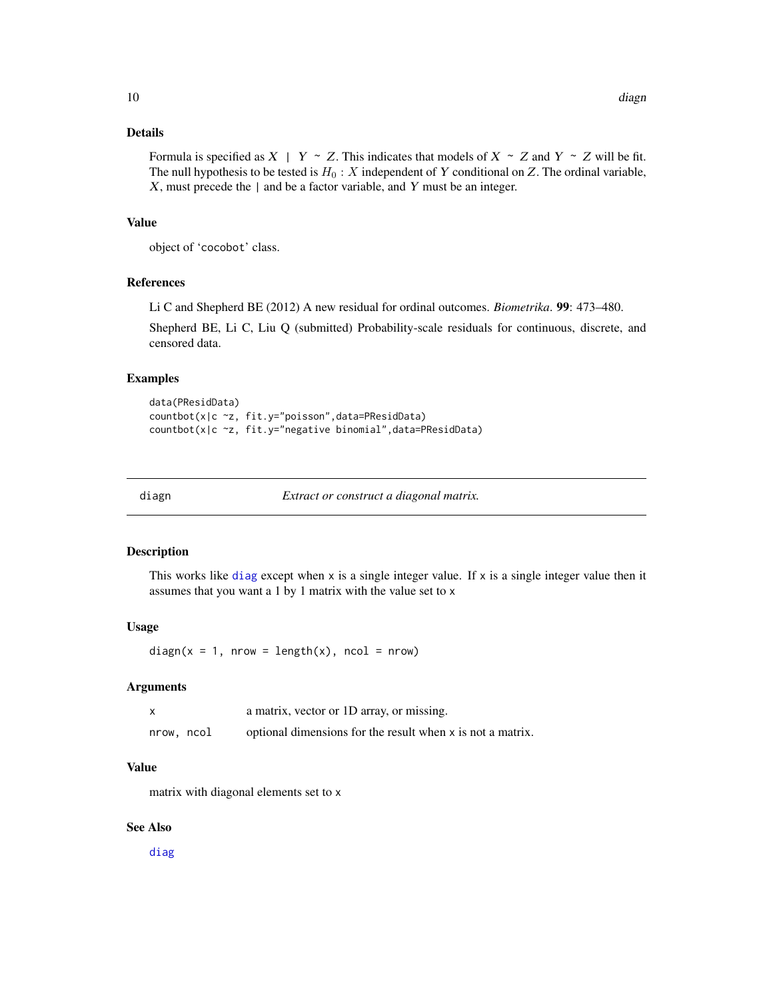# <span id="page-9-0"></span>Details

Formula is specified as  $X \mid Y \sim Z$ . This indicates that models of  $X \sim Z$  and  $Y \sim Z$  will be fit. The null hypothesis to be tested is  $H_0: X$  independent of Y conditional on Z. The ordinal variable,  $X$ , must precede the  $|$  and be a factor variable, and  $Y$  must be an integer.

# Value

object of 'cocobot' class.

#### References

Li C and Shepherd BE (2012) A new residual for ordinal outcomes. *Biometrika*. 99: 473–480.

Shepherd BE, Li C, Liu Q (submitted) Probability-scale residuals for continuous, discrete, and censored data.

#### Examples

```
data(PResidData)
countbot(x|c ~z, fit.y="poisson",data=PResidData)
countbot(x|c ~z, fit.y="negative binomial",data=PResidData)
```
diagn *Extract or construct a diagonal matrix.*

#### Description

This works like [diag](#page-0-0) except when  $x$  is a single integer value. If  $x$  is a single integer value then it assumes that you want a 1 by 1 matrix with the value set to x

#### Usage

 $diagn(x = 1, nrow = length(x), ncol = nrow)$ 

# Arguments

|            | a matrix, vector or 1D array, or missing.                  |
|------------|------------------------------------------------------------|
| nrow, ncol | optional dimensions for the result when x is not a matrix. |

#### Value

matrix with diagonal elements set to x

# See Also

[diag](#page-0-0)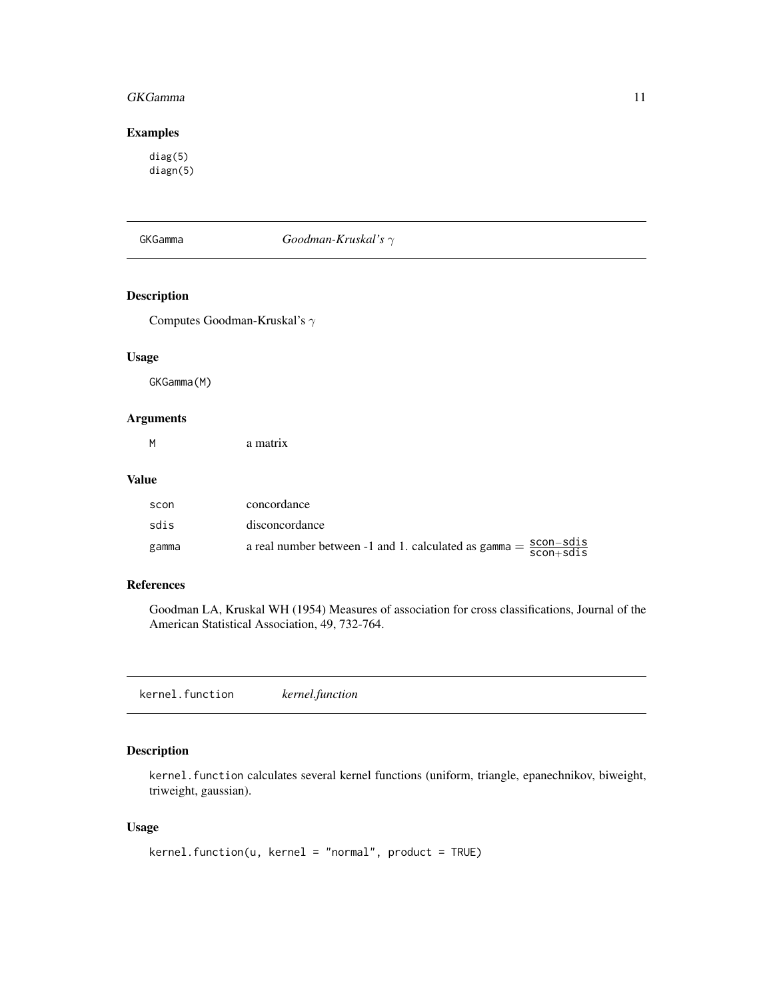#### <span id="page-10-0"></span>GKGamma 11

# Examples

diag(5) diagn(5)

GKGamma *Goodman-Kruskal's* γ

# Description

Computes Goodman-Kruskal's  $\gamma$ 

#### Usage

GKGamma(M)

# Arguments

| a matrix |
|----------|
|          |

#### Value

| scon  | concordance                                                                                              |
|-------|----------------------------------------------------------------------------------------------------------|
| sdis  | disconcordance                                                                                           |
| gamma | a real number between -1 and 1. calculated as $\text{gamma} = \frac{\text{scon-sdis}}{\text{scon+sdis}}$ |

#### References

Goodman LA, Kruskal WH (1954) Measures of association for cross classifications, Journal of the American Statistical Association, 49, 732-764.

kernel.function *kernel.function*

# Description

kernel.function calculates several kernel functions (uniform, triangle, epanechnikov, biweight, triweight, gaussian).

# Usage

```
kernel.function(u, kernel = "normal", product = TRUE)
```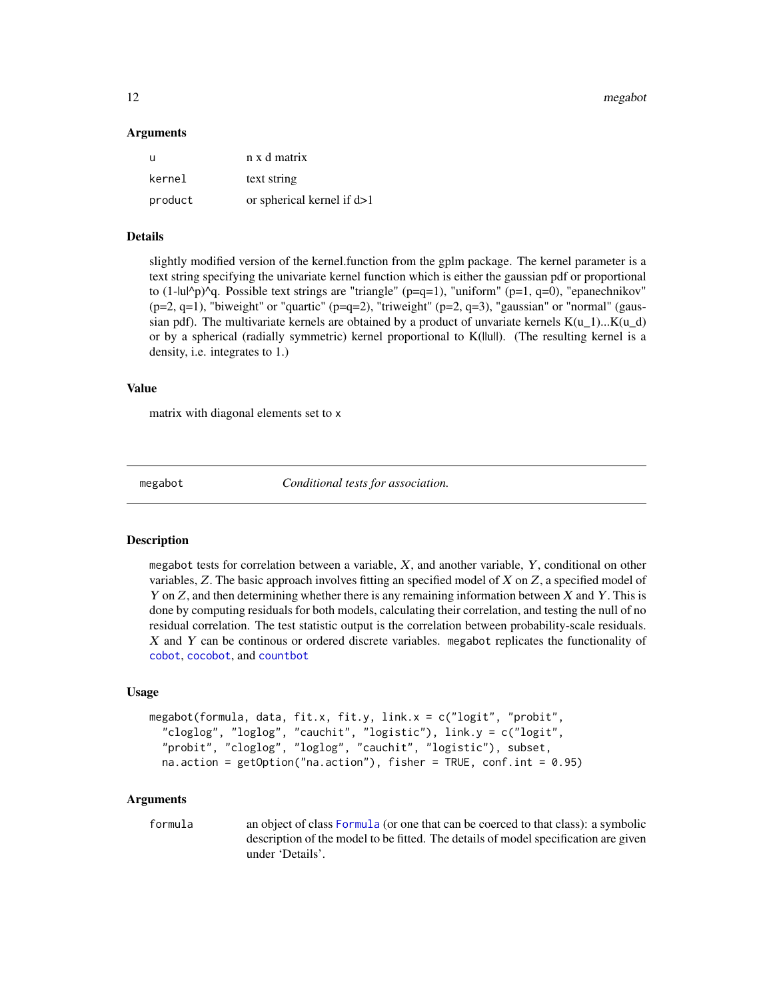<span id="page-11-0"></span>12 megabot negative and the set of the set of the set of the set of the set of the set of the set of the set of the set of the set of the set of the set of the set of the set of the set of the set of the set of the set of

#### Arguments

| - u     | n x d matrix                 |
|---------|------------------------------|
| kernel  | text string                  |
| product | or spherical kernel if $d>1$ |

#### Details

slightly modified version of the kernel.function from the gplm package. The kernel parameter is a text string specifying the univariate kernel function which is either the gaussian pdf or proportional to  $(1-\text{lul/p})^q$ q. Possible text strings are "triangle" (p=q=1), "uniform" (p=1, q=0), "epanechnikov"  $(p=2, q=1)$ , "biweight" or "quartic" ( $p=q=2$ ), "triweight" ( $p=2, q=3$ ), "gaussian" or "normal" (gaussian pdf). The multivariate kernels are obtained by a product of unvariate kernels  $K(u_1) \dots K(u_d)$ or by a spherical (radially symmetric) kernel proportional to K(||u||). (The resulting kernel is a density, i.e. integrates to 1.)

#### Value

matrix with diagonal elements set to x

megabot *Conditional tests for association.*

## Description

megabot tests for correlation between a variable,  $X$ , and another variable,  $Y$ , conditional on other variables, Z. The basic approach involves fitting an specified model of X on Z, a specified model of Y on  $Z$ , and then determining whether there is any remaining information between  $X$  and  $Y$ . This is done by computing residuals for both models, calculating their correlation, and testing the null of no residual correlation. The test statistic output is the correlation between probability-scale residuals. X and Y can be continous or ordered discrete variables. megabot replicates the functionality of [cobot](#page-2-1), [cocobot](#page-3-1), and [countbot](#page-8-1)

#### Usage

```
megabot(formula, data, fit.x, fit.y, link.x = c("logit", "probit",
  "cloglog", "loglog", "cauchit", "logistic"), link.y = c("logit",
  "probit", "cloglog", "loglog", "cauchit", "logistic"), subset,
  na. action = getOption("na.action"), fisher = TRUE, conf.int = <math>0.95</math>)
```
#### Arguments

formula an object of class [Formula](#page-0-0) (or one that can be coerced to that class): a symbolic description of the model to be fitted. The details of model specification are given under 'Details'.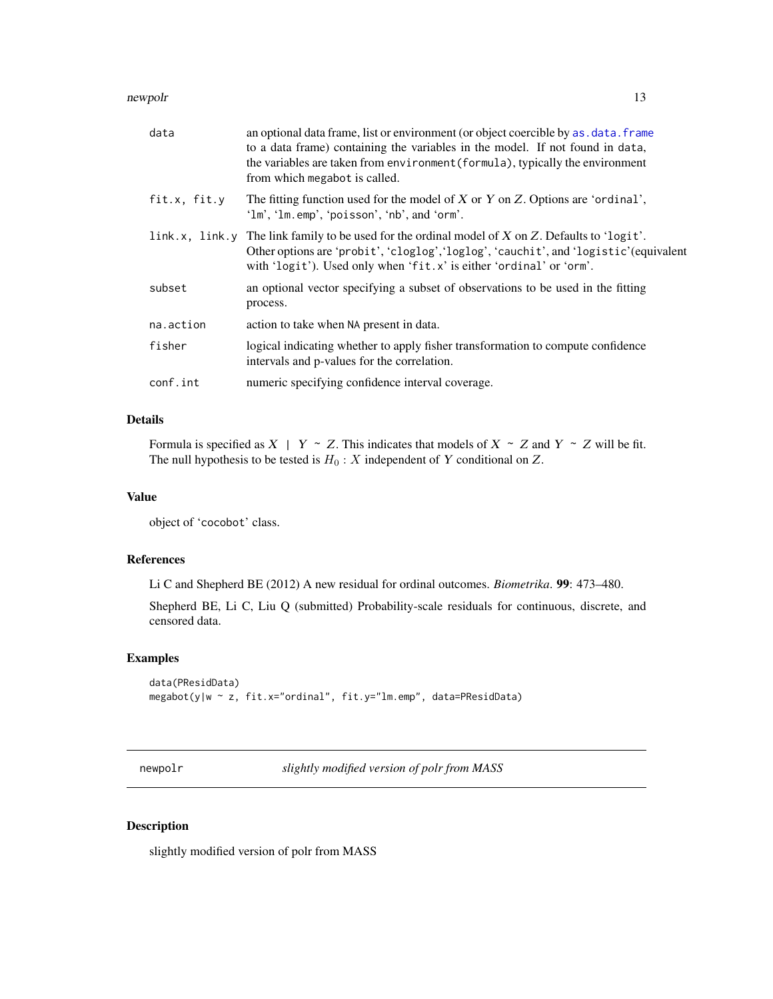#### <span id="page-12-0"></span>newpolr and the set of the set of the set of the set of the set of the set of the set of the set of the set of the set of the set of the set of the set of the set of the set of the set of the set of the set of the set of t

| data         | an optional data frame, list or environment (or object coercible by as . data. frame<br>to a data frame) containing the variables in the model. If not found in data,<br>the variables are taken from environment (formula), typically the environment<br>from which megabot is called. |
|--------------|-----------------------------------------------------------------------------------------------------------------------------------------------------------------------------------------------------------------------------------------------------------------------------------------|
| fit.x, fit.y | The fitting function used for the model of $X$ or $Y$ on $Z$ . Options are 'ordinal',<br>'lm', 'lm.emp', 'poisson', 'nb', and 'orm'.                                                                                                                                                    |
|              | link.x, link.y The link family to be used for the ordinal model of X on Z. Defaults to 'logit'.<br>Other options are 'probit', 'cloglog', 'loglog', 'cauchit', and 'logistic' (equivalent<br>with 'logit'). Used only when 'fit.x' is either 'ordinal' or 'orm'.                        |
| subset       | an optional vector specifying a subset of observations to be used in the fitting<br>process.                                                                                                                                                                                            |
| na.action    | action to take when NA present in data.                                                                                                                                                                                                                                                 |
| fisher       | logical indicating whether to apply fisher transformation to compute confidence<br>intervals and p-values for the correlation.                                                                                                                                                          |
| conf.int     | numeric specifying confidence interval coverage.                                                                                                                                                                                                                                        |

# Details

Formula is specified as  $X \mid Y \sim Z$ . This indicates that models of  $X \sim Z$  and  $Y \sim Z$  will be fit. The null hypothesis to be tested is  $H_0: X$  independent of Y conditional on Z.

# Value

object of 'cocobot' class.

#### References

Li C and Shepherd BE (2012) A new residual for ordinal outcomes. *Biometrika*. 99: 473–480.

Shepherd BE, Li C, Liu Q (submitted) Probability-scale residuals for continuous, discrete, and censored data.

# Examples

```
data(PResidData)
megabot(y|w ~ z, fit.x="ordinal", fit.y="lm.emp", data=PResidData)
```
newpolr *slightly modified version of polr from MASS*

# Description

slightly modified version of polr from MASS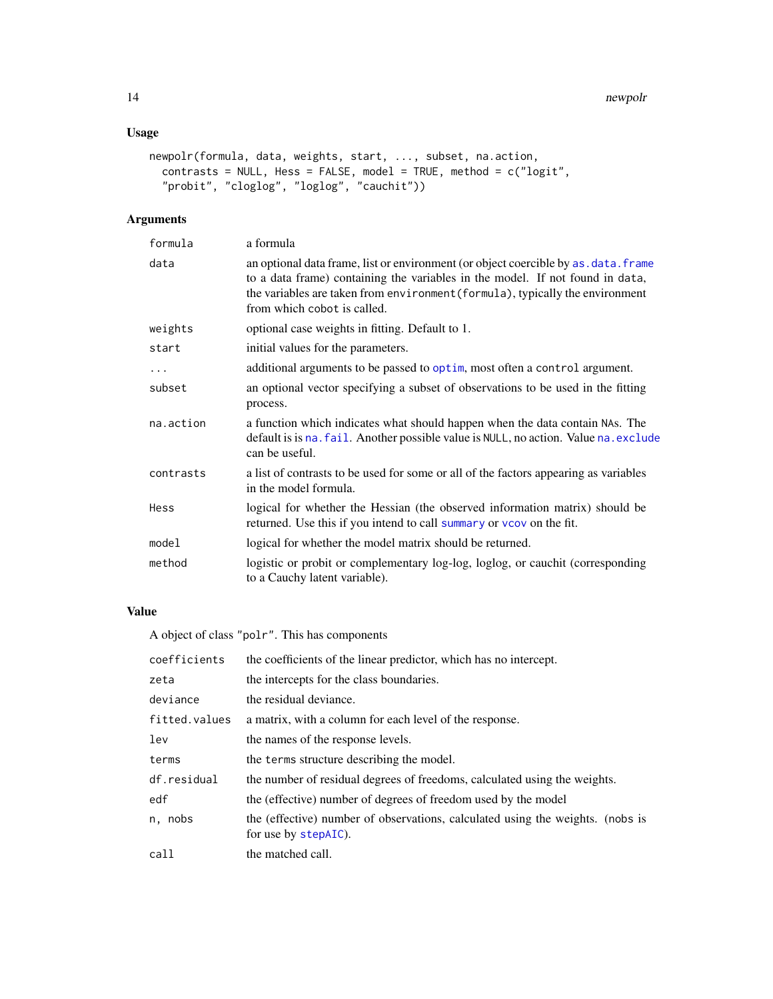# <span id="page-13-0"></span>Usage

```
newpolr(formula, data, weights, start, ..., subset, na.action,
 contrasts = NULL, Hess = FALSE, model = TRUE, method = c("logit",
  "probit", "cloglog", "loglog", "cauchit"))
```
# Arguments

| formula   | a formula                                                                                                                                                                                                                                                                             |
|-----------|---------------------------------------------------------------------------------------------------------------------------------------------------------------------------------------------------------------------------------------------------------------------------------------|
| data      | an optional data frame, list or environment (or object coercible by as . data. frame<br>to a data frame) containing the variables in the model. If not found in data,<br>the variables are taken from environment (formula), typically the environment<br>from which cobot is called. |
| weights   | optional case weights in fitting. Default to 1.                                                                                                                                                                                                                                       |
| start     | initial values for the parameters.                                                                                                                                                                                                                                                    |
| $\ddots$  | additional arguments to be passed to optim, most often a control argument.                                                                                                                                                                                                            |
| subset    | an optional vector specifying a subset of observations to be used in the fitting<br>process.                                                                                                                                                                                          |
| na.action | a function which indicates what should happen when the data contain NAs. The<br>default is is na. fail. Another possible value is NULL, no action. Value na. exclude<br>can be useful.                                                                                                |
| contrasts | a list of contrasts to be used for some or all of the factors appearing as variables<br>in the model formula.                                                                                                                                                                         |
| Hess      | logical for whether the Hessian (the observed information matrix) should be<br>returned. Use this if you intend to call summary or vcov on the fit.                                                                                                                                   |
| model     | logical for whether the model matrix should be returned.                                                                                                                                                                                                                              |
| method    | logistic or probit or complementary log-log, loglog, or cauchit (corresponding<br>to a Cauchy latent variable).                                                                                                                                                                       |

# Value

A object of class "polr". This has components

| coefficients  | the coefficients of the linear predictor, which has no intercept.                                      |  |
|---------------|--------------------------------------------------------------------------------------------------------|--|
| zeta          | the intercepts for the class boundaries.                                                               |  |
| deviance      | the residual deviance.                                                                                 |  |
| fitted.values | a matrix, with a column for each level of the response.                                                |  |
| lev           | the names of the response levels.                                                                      |  |
| terms         | the terms structure describing the model.                                                              |  |
| df.residual   | the number of residual degrees of freedoms, calculated using the weights.                              |  |
| edf           | the (effective) number of degrees of freedom used by the model                                         |  |
| n, nobs       | the (effective) number of observations, calculated using the weights. (nobs is<br>for use by stepAIC). |  |
| call          | the matched call.                                                                                      |  |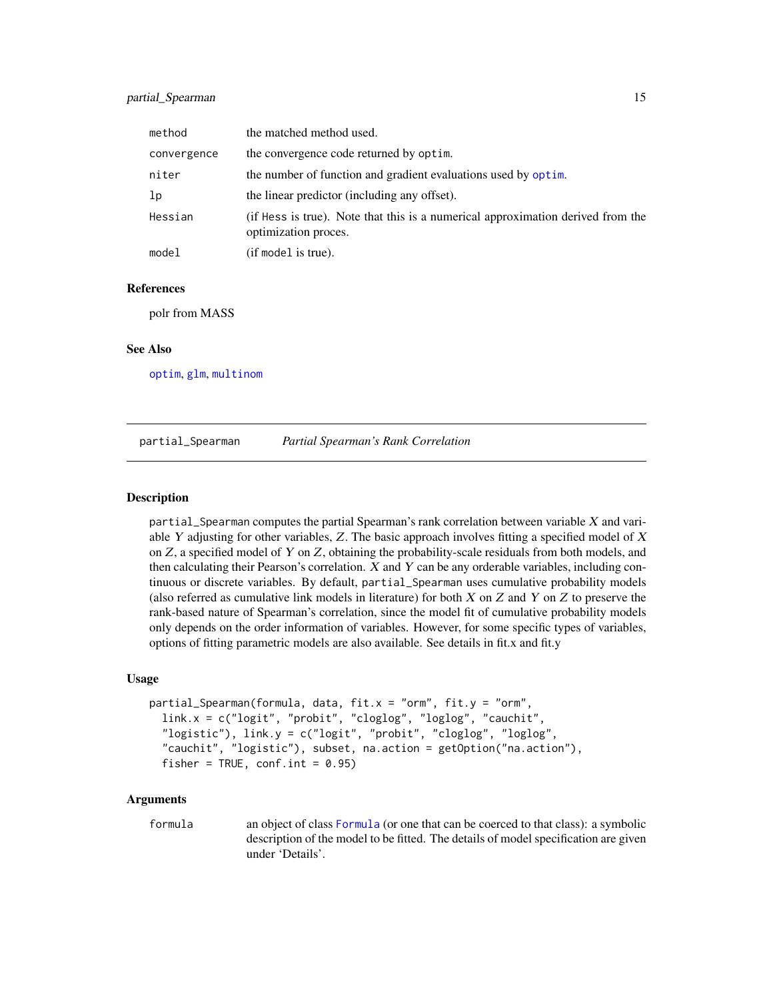#### <span id="page-14-0"></span>partial\_Spearman 15

| method         | the matched method used.                                                                                |
|----------------|---------------------------------------------------------------------------------------------------------|
| convergence    | the convergence code returned by optim.                                                                 |
| niter          | the number of function and gradient evaluations used by optim.                                          |
| 1 <sub>p</sub> | the linear predictor (including any offset).                                                            |
| Hessian        | (if Hess is true). Note that this is a numerical approximation derived from the<br>optimization proces. |
| model          | (if model is true).                                                                                     |

#### References

polr from MASS

#### See Also

[optim](#page-0-0), [glm](#page-0-0), [multinom](#page-0-0)

partial\_Spearman *Partial Spearman's Rank Correlation*

#### Description

partial\_Spearman computes the partial Spearman's rank correlation between variable  $X$  and variable Y adjusting for other variables,  $Z$ . The basic approach involves fitting a specified model of  $X$ on  $Z$ , a specified model of Y on  $Z$ , obtaining the probability-scale residuals from both models, and then calculating their Pearson's correlation.  $X$  and  $Y$  can be any orderable variables, including continuous or discrete variables. By default, partial\_Spearman uses cumulative probability models (also referred as cumulative link models in literature) for both  $X$  on  $Z$  and  $Y$  on  $Z$  to preserve the rank-based nature of Spearman's correlation, since the model fit of cumulative probability models only depends on the order information of variables. However, for some specific types of variables, options of fitting parametric models are also available. See details in fit.x and fit.y

#### Usage

```
partial_Spearman(formula, data, fit.x = "orm", fit.y = "orm",
  link.x = c("logit", "probit", "cloglog", "loglog", "cauchit",
  "logistic"), link.y = c("logit", "probit", "cloglog", "loglog",
  "cauchit", "logistic"), subset, na.action = getOption("na.action"),
  fisher = TRUE, conf.int = 0.95)
```
#### Arguments

formula an object of class [Formula](#page-0-0) (or one that can be coerced to that class): a symbolic description of the model to be fitted. The details of model specification are given under 'Details'.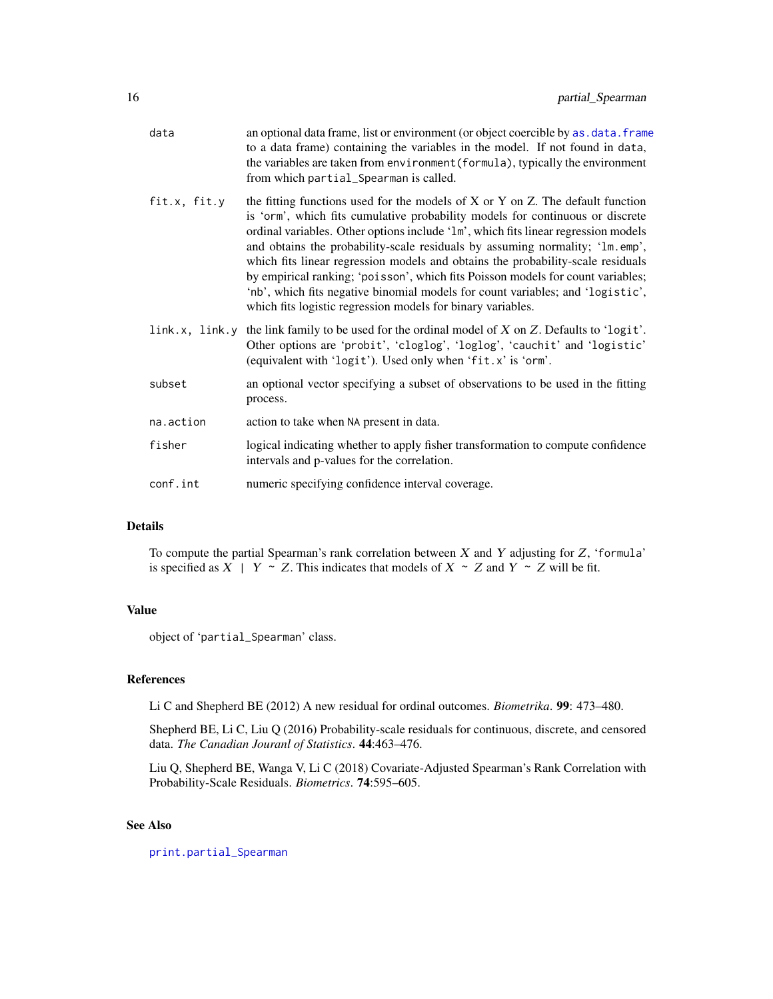<span id="page-15-0"></span>

| data         | an optional data frame, list or environment (or object coercible by as . data. frame<br>to a data frame) containing the variables in the model. If not found in data,<br>the variables are taken from environment (formula), typically the environment<br>from which partial_Spearman is called.                                                                                                                                                                                                                                                                                                                                                              |
|--------------|---------------------------------------------------------------------------------------------------------------------------------------------------------------------------------------------------------------------------------------------------------------------------------------------------------------------------------------------------------------------------------------------------------------------------------------------------------------------------------------------------------------------------------------------------------------------------------------------------------------------------------------------------------------|
| fit.x, fit.y | the fitting functions used for the models of X or Y on Z. The default function<br>is 'orm', which fits cumulative probability models for continuous or discrete<br>ordinal variables. Other options include '1m', which fits linear regression models<br>and obtains the probability-scale residuals by assuming normality; '1m. emp',<br>which fits linear regression models and obtains the probability-scale residuals<br>by empirical ranking; 'poisson', which fits Poisson models for count variables;<br>'nb', which fits negative binomial models for count variables; and 'logistic',<br>which fits logistic regression models for binary variables. |
|              | link.x, link.y the link family to be used for the ordinal model of $X$ on $Z$ . Defaults to 'logit'.<br>Other options are 'probit', 'cloglog', 'loglog', 'cauchit' and 'logistic'<br>(equivalent with 'logit'). Used only when 'fit.x' is 'orm'.                                                                                                                                                                                                                                                                                                                                                                                                              |
| subset       | an optional vector specifying a subset of observations to be used in the fitting<br>process.                                                                                                                                                                                                                                                                                                                                                                                                                                                                                                                                                                  |
| na.action    | action to take when NA present in data.                                                                                                                                                                                                                                                                                                                                                                                                                                                                                                                                                                                                                       |
| fisher       | logical indicating whether to apply fisher transformation to compute confidence<br>intervals and p-values for the correlation.                                                                                                                                                                                                                                                                                                                                                                                                                                                                                                                                |
| conf.int     | numeric specifying confidence interval coverage.                                                                                                                                                                                                                                                                                                                                                                                                                                                                                                                                                                                                              |
|              |                                                                                                                                                                                                                                                                                                                                                                                                                                                                                                                                                                                                                                                               |

# Details

To compute the partial Spearman's rank correlation between  $X$  and  $Y$  adjusting for  $Z$ , 'formula' is specified as  $X \mid Y \sim Z$ . This indicates that models of  $X \sim Z$  and  $Y \sim Z$  will be fit.

# Value

object of 'partial\_Spearman' class.

### References

Li C and Shepherd BE (2012) A new residual for ordinal outcomes. *Biometrika*. 99: 473–480.

Shepherd BE, Li C, Liu Q (2016) Probability-scale residuals for continuous, discrete, and censored data. *The Canadian Jouranl of Statistics*. 44:463–476.

Liu Q, Shepherd BE, Wanga V, Li C (2018) Covariate-Adjusted Spearman's Rank Correlation with Probability-Scale Residuals. *Biometrics*. 74:595–605.

# See Also

[print.partial\\_Spearman](#page-20-2)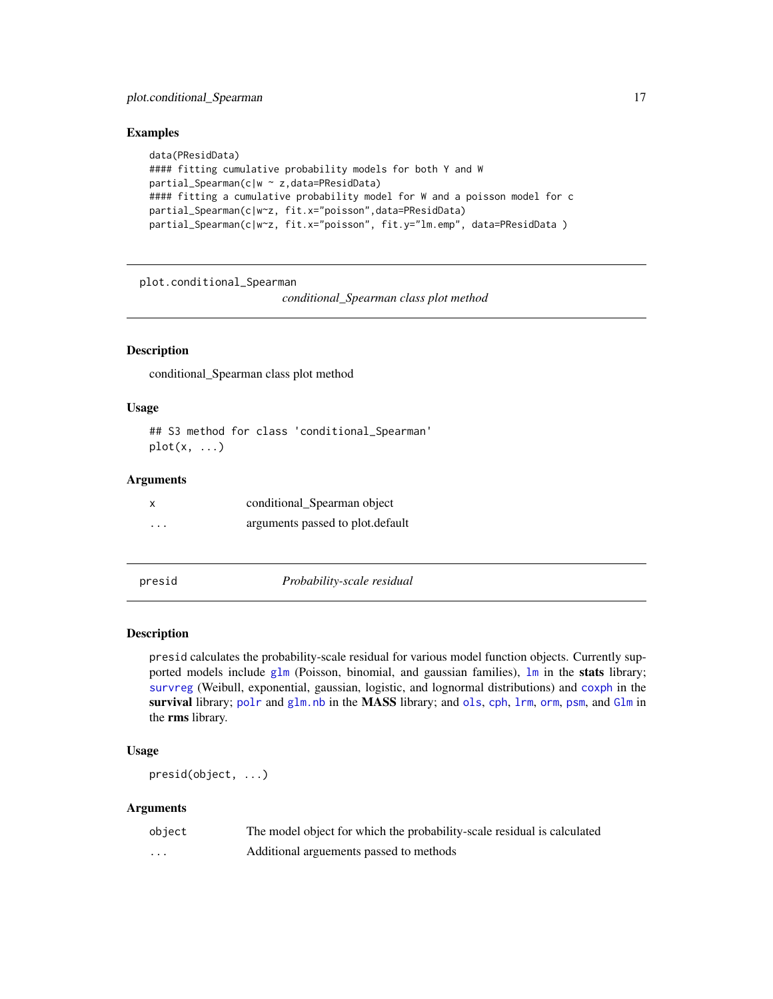# <span id="page-16-0"></span>plot.conditional\_Spearman 17

#### Examples

```
data(PResidData)
#### fitting cumulative probability models for both Y and W
partial_Spearman(c|w ~ z,data=PResidData)
#### fitting a cumulative probability model for W and a poisson model for c
partial_Spearman(c|w~z, fit.x="poisson",data=PResidData)
partial_Spearman(c|w~z, fit.x="poisson", fit.y="lm.emp", data=PResidData )
```
plot.conditional\_Spearman

*conditional\_Spearman class plot method*

### Description

conditional\_Spearman class plot method

#### Usage

## S3 method for class 'conditional\_Spearman'  $plot(x, \ldots)$ 

#### Arguments

|                         | conditional_Spearman object      |
|-------------------------|----------------------------------|
| $\cdot$ $\cdot$ $\cdot$ | arguments passed to plot.default |

presid *Probability-scale residual*

# Description

presid calculates the probability-scale residual for various model function objects. Currently supported models include [glm](#page-0-0) (Poisson, binomial, and gaussian families),  $\text{lm}$  $\text{lm}$  $\text{lm}$  in the stats library; [survreg](#page-0-0) (Weibull, exponential, gaussian, logistic, and lognormal distributions) and [coxph](#page-0-0) in the survival library; [polr](#page-0-0) and [glm.nb](#page-0-0) in the MASS library; and [ols](#page-0-0), [cph](#page-0-0), [lrm](#page-0-0), [orm](#page-0-0), [psm](#page-0-0), and [Glm](#page-0-0) in the rms library.

#### Usage

```
presid(object, ...)
```

| object   | The model object for which the probability-scale residual is calculated |
|----------|-------------------------------------------------------------------------|
| $\cdots$ | Additional arguements passed to methods                                 |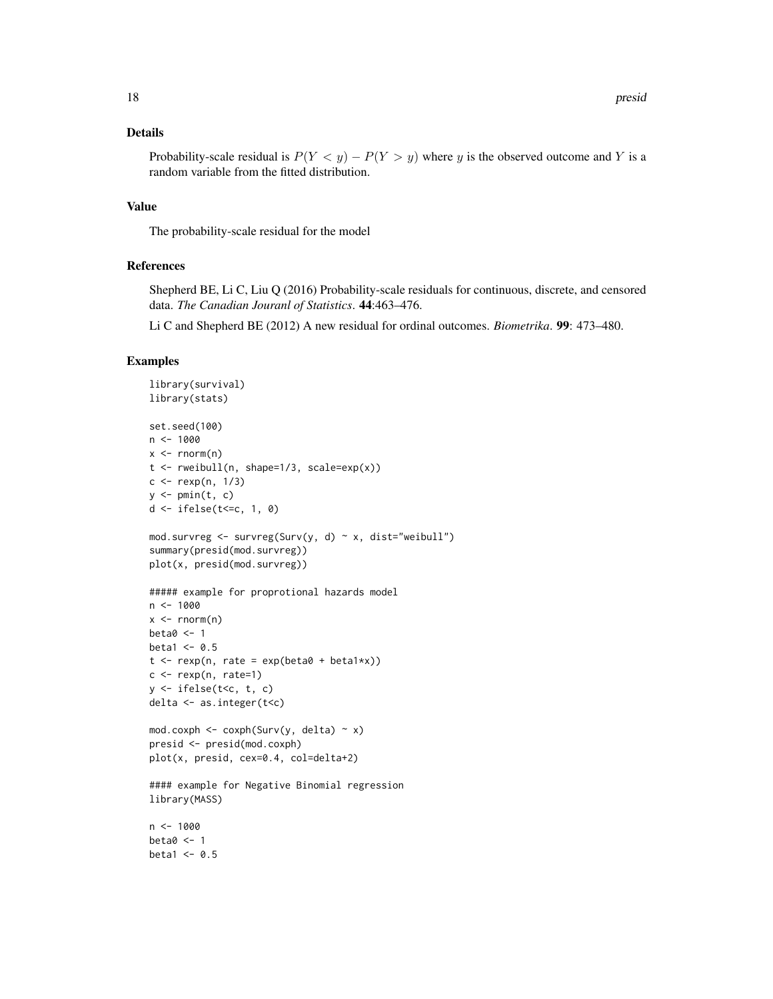#### Details

Probability-scale residual is  $P(Y \le y) - P(Y > y)$  where y is the observed outcome and Y is a random variable from the fitted distribution.

### Value

The probability-scale residual for the model

#### References

Shepherd BE, Li C, Liu Q (2016) Probability-scale residuals for continuous, discrete, and censored data. *The Canadian Jouranl of Statistics*. 44:463–476.

Li C and Shepherd BE (2012) A new residual for ordinal outcomes. *Biometrika*. 99: 473–480.

# Examples

```
library(survival)
library(stats)
set.seed(100)
n < - 1000x \leq -rnorm(n)t < - rweibull(n, shape=1/3, scale=exp(x))
c < - rexp(n, 1/3)
y \leftarrow \text{pmin}(t, c)d \le -ifelse(t \le -c, 1, 0)mod.survreg \leq survreg(Surv(y, d) \sim x, dist="weibull")
summary(presid(mod.survreg))
plot(x, presid(mod.survreg))
##### example for proprotional hazards model
n < - 1000x \leq -rnorm(n)beta0 < -1beta1 <- 0.5
t \leq -\text{resp}(n, \text{ rate} = \exp(\text{beta} + \text{beta} + x))c \leq - rexp(n, rate=1)
y \le - ifelse(t\le c, t, c)
delta <- as.integer(t<c)
mod.coxph <- coxph(Surv(y, delta) \sim x)
presid <- presid(mod.coxph)
plot(x, presid, cex=0.4, col=delta+2)
#### example for Negative Binomial regression
library(MASS)
n < - 1000beta0 < -1beta1 <- 0.5
```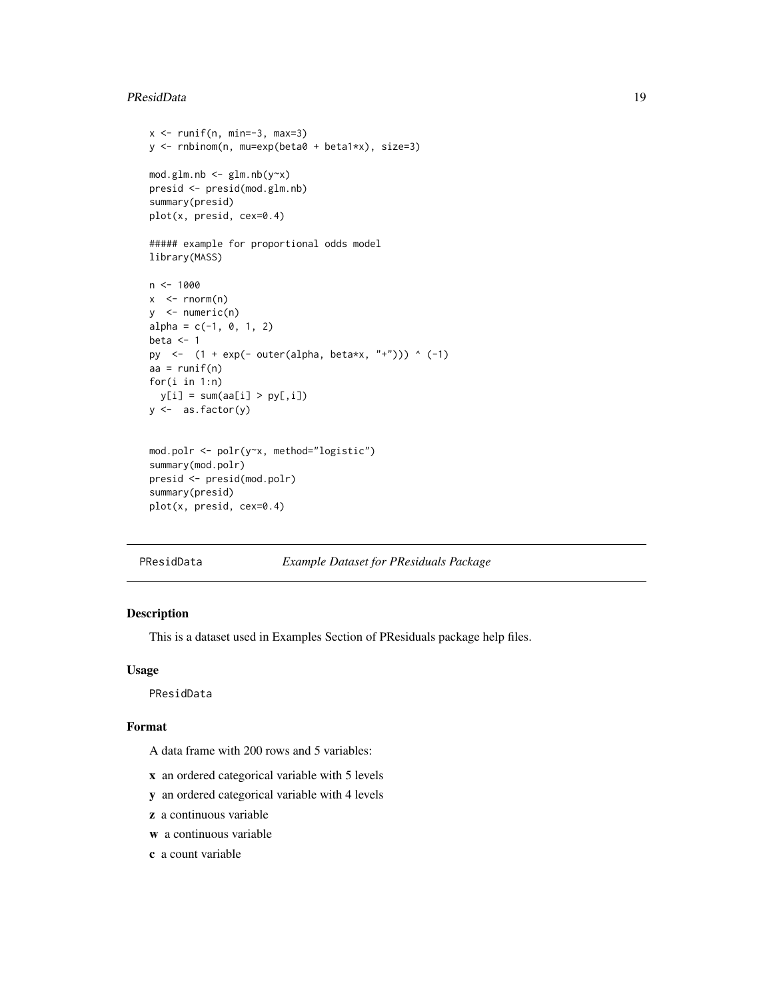#### <span id="page-18-0"></span>PResidData 19

```
x \leftarrow runif(n, min=-3, max=3)y <- rnbinom(n, mu=exp(beta0 + beta1*x), size=3)
mod.glm.nb < -glm.nb(y~x)presid <- presid(mod.glm.nb)
summary(presid)
plot(x, presid, cex=0.4)
##### example for proportional odds model
library(MASS)
n <- 1000
x < - rnorm(n)y \le - numeric(n)
alpha = c(-1, 0, 1, 2)beta <-1py <- (1 + \exp(-\text{ outer}(\text{alpha}, \text{beta} x, "+"))) ^ (-1)
aa = runif(n)for(i in 1:n)
 y[i] = sum(aa[i] > py[, i])y <- as.factor(y)
mod.polr <- polr(y~x, method="logistic")
summary(mod.polr)
presid <- presid(mod.polr)
summary(presid)
plot(x, presid, cex=0.4)
```
PResidData *Example Dataset for PResiduals Package*

# Description

This is a dataset used in Examples Section of PResiduals package help files.

#### Usage

PResidData

### Format

A data frame with 200 rows and 5 variables:

- x an ordered categorical variable with 5 levels
- y an ordered categorical variable with 4 levels
- z a continuous variable
- w a continuous variable
- c a count variable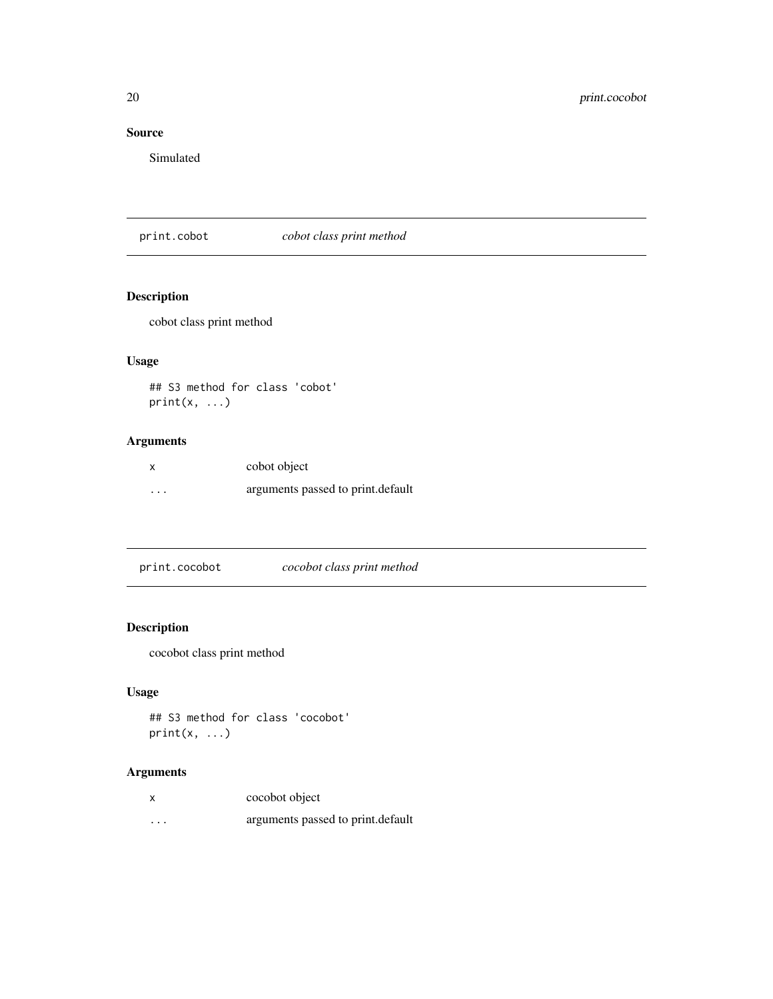# <span id="page-19-0"></span>Source

Simulated

print.cobot *cobot class print method*

# Description

cobot class print method

# Usage

## S3 method for class 'cobot'  $print(x, \ldots)$ 

# Arguments

|          | cobot object                      |
|----------|-----------------------------------|
| $\cdots$ | arguments passed to print.default |

| print.cocobot | cocobot class print method |  |
|---------------|----------------------------|--|
|---------------|----------------------------|--|

# Description

cocobot class print method

# Usage

```
## S3 method for class 'cocobot'
print(x, \ldots)
```

|   | cocobot object                    |
|---|-----------------------------------|
| . | arguments passed to print.default |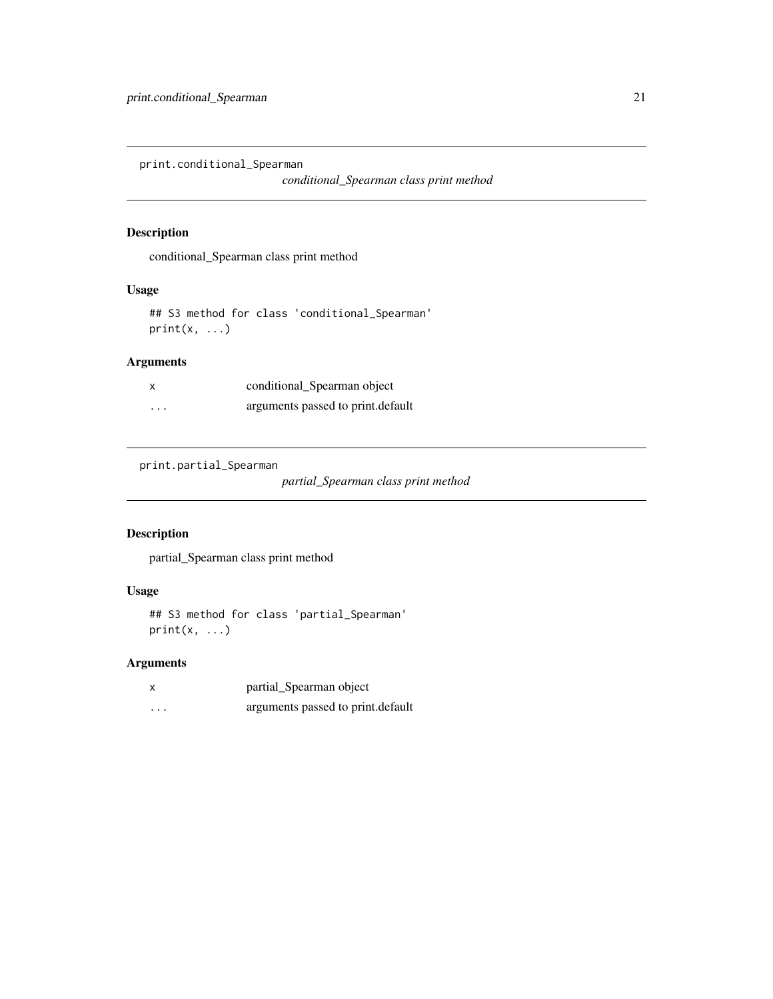<span id="page-20-1"></span><span id="page-20-0"></span>print.conditional\_Spearman

*conditional\_Spearman class print method*

# Description

conditional\_Spearman class print method

# Usage

## S3 method for class 'conditional\_Spearman'  $print(x, \ldots)$ 

# Arguments

| x        | conditional_Spearman object       |
|----------|-----------------------------------|
| $\cdots$ | arguments passed to print.default |

<span id="page-20-2"></span>print.partial\_Spearman

*partial\_Spearman class print method*

# Description

partial\_Spearman class print method

# Usage

```
## S3 method for class 'partial_Spearman'
print(x, \ldots)
```

|          | partial_Spearman object           |
|----------|-----------------------------------|
| $\cdots$ | arguments passed to print.default |